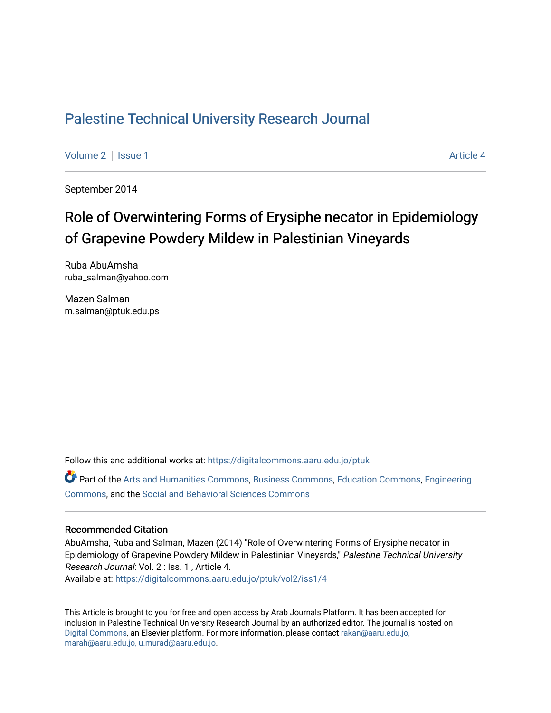# [Palestine Technical University Research Journal](https://digitalcommons.aaru.edu.jo/ptuk)

[Volume 2](https://digitalcommons.aaru.edu.jo/ptuk/vol2) | [Issue 1](https://digitalcommons.aaru.edu.jo/ptuk/vol2/iss1) Article 4

September 2014

# Role of Overwintering Forms of Erysiphe necator in Epidemiology of Grapevine Powdery Mildew in Palestinian Vineyards

Ruba AbuAmsha ruba\_salman@yahoo.com

Mazen Salman m.salman@ptuk.edu.ps

Follow this and additional works at: [https://digitalcommons.aaru.edu.jo/ptuk](https://digitalcommons.aaru.edu.jo/ptuk?utm_source=digitalcommons.aaru.edu.jo%2Fptuk%2Fvol2%2Fiss1%2F4&utm_medium=PDF&utm_campaign=PDFCoverPages) 

Part of the [Arts and Humanities Commons,](http://network.bepress.com/hgg/discipline/438?utm_source=digitalcommons.aaru.edu.jo%2Fptuk%2Fvol2%2Fiss1%2F4&utm_medium=PDF&utm_campaign=PDFCoverPages) [Business Commons](http://network.bepress.com/hgg/discipline/622?utm_source=digitalcommons.aaru.edu.jo%2Fptuk%2Fvol2%2Fiss1%2F4&utm_medium=PDF&utm_campaign=PDFCoverPages), [Education Commons,](http://network.bepress.com/hgg/discipline/784?utm_source=digitalcommons.aaru.edu.jo%2Fptuk%2Fvol2%2Fiss1%2F4&utm_medium=PDF&utm_campaign=PDFCoverPages) [Engineering](http://network.bepress.com/hgg/discipline/217?utm_source=digitalcommons.aaru.edu.jo%2Fptuk%2Fvol2%2Fiss1%2F4&utm_medium=PDF&utm_campaign=PDFCoverPages) [Commons](http://network.bepress.com/hgg/discipline/217?utm_source=digitalcommons.aaru.edu.jo%2Fptuk%2Fvol2%2Fiss1%2F4&utm_medium=PDF&utm_campaign=PDFCoverPages), and the [Social and Behavioral Sciences Commons](http://network.bepress.com/hgg/discipline/316?utm_source=digitalcommons.aaru.edu.jo%2Fptuk%2Fvol2%2Fiss1%2F4&utm_medium=PDF&utm_campaign=PDFCoverPages)

#### Recommended Citation

AbuAmsha, Ruba and Salman, Mazen (2014) "Role of Overwintering Forms of Erysiphe necator in Epidemiology of Grapevine Powdery Mildew in Palestinian Vineyards," Palestine Technical University Research Journal: Vol. 2 : Iss. 1 , Article 4. Available at: [https://digitalcommons.aaru.edu.jo/ptuk/vol2/iss1/4](https://digitalcommons.aaru.edu.jo/ptuk/vol2/iss1/4?utm_source=digitalcommons.aaru.edu.jo%2Fptuk%2Fvol2%2Fiss1%2F4&utm_medium=PDF&utm_campaign=PDFCoverPages)

This Article is brought to you for free and open access by Arab Journals Platform. It has been accepted for inclusion in Palestine Technical University Research Journal by an authorized editor. The journal is hosted on [Digital Commons](https://www.elsevier.com/solutions/digital-commons), an Elsevier platform. For more information, please contact [rakan@aaru.edu.jo,](mailto:rakan@aaru.edu.jo,%20marah@aaru.edu.jo,%20u.murad@aaru.edu.jo)  [marah@aaru.edu.jo, u.murad@aaru.edu.jo.](mailto:rakan@aaru.edu.jo,%20marah@aaru.edu.jo,%20u.murad@aaru.edu.jo)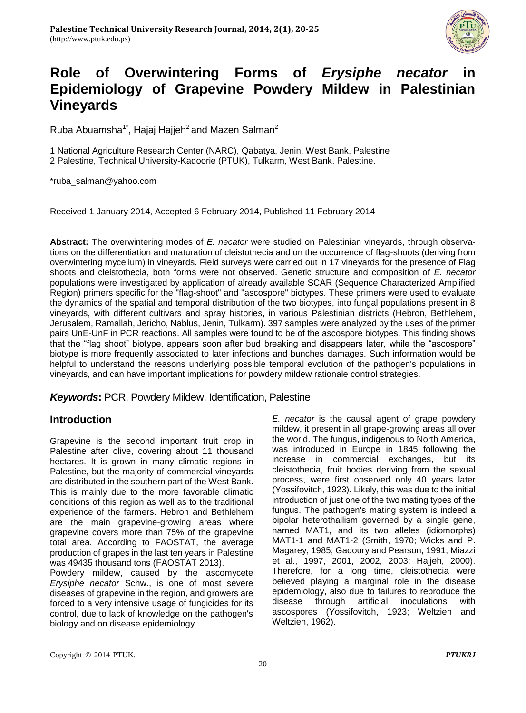

# **Role of Overwintering Forms of** *Erysiphe necator* **Epidemiology of Grapevine Powdery Mildew in Palestinian Vineyards**

Ruba Abuamsha<sup>1\*</sup>, Hajaj Hajjeh<sup>2</sup> and Mazen Salman<sup>2</sup>

1 National Agriculture Research Center (NARC), Qabatya, Jenin, West Bank, Palestine 2 Palestine, Technical University-Kadoorie (PTUK), Tulkarm, West Bank, Palestine.

\*ruba\_salman@yahoo.com

Received 1 January 2014, Accepted 6 February 2014, Published 11 February 2014

**Abstract:** The overwintering modes of *E. necator* were studied on Palestinian vineyards, through observations on the differentiation and maturation of cleistothecia and on the occurrence of flag-shoots (deriving from overwintering mycelium) in vineyards. Field surveys were carried out in 17 vineyards for the presence of Flag shoots and cleistothecia, both forms were not observed. Genetic structure and composition of *E. necator* populations were investigated by application of already available SCAR (Sequence Characterized Amplified Region) primers specific for the "flag-shoot" and "ascospore" biotypes. These primers were used to evaluate the dynamics of the spatial and temporal distribution of the two biotypes, into fungal populations present in 8 vineyards, with different cultivars and spray histories, in various Palestinian districts (Hebron, Bethlehem, Jerusalem, Ramallah, Jericho, Nablus, Jenin, Tulkarm). 397 samples were analyzed by the uses of the primer pairs UnE-UnF in PCR reactions. All samples were found to be of the ascospore biotypes. This finding shows that the "flag shoot" biotype, appears soon after bud breaking and disappears later, while the "ascospore" biotype is more frequently associated to later infections and bunches damages. Such information would be helpful to understand the reasons underlying possible temporal evolution of the pathogen's populations in vineyards, and can have important implications for powdery mildew rationale control strategies.

## *Keywords***:** PCR, Powdery Mildew, Identification, Palestine

## **Introduction**

Grapevine is the second important fruit crop in Palestine after olive, covering about 11 thousand hectares. It is grown in many climatic regions in Palestine, but the majority of commercial vineyards are distributed in the southern part of the West Bank. This is mainly due to the more favorable climatic conditions of this region as well as to the traditional experience of the farmers. Hebron and Bethlehem are the main grapevine-growing areas where grapevine covers more than 75% of the grapevine total area. According to FAOSTAT, the average production of grapes in the last ten years in Palestine was 49435 thousand tons (FAOSTAT 2013).

Powdery mildew, caused by the ascomycete *Erysiphe necator* Schw., is one of most severe diseases of grapevine in the region, and growers are forced to a very intensive usage of fungicides for its control, due to lack of knowledge on the pathogen's biology and on disease epidemiology.

*E. necator* is the causal agent of grape powdery mildew, it present in all grape-growing areas all over the world. The fungus, indigenous to North America, was introduced in Europe in 1845 following the increase in commercial exchanges, but its cleistothecia, fruit bodies deriving from the sexual process, were first observed only 40 years later (Yossifovitch, 1923). Likely, this was due to the initial introduction of just one of the two mating types of the fungus. The pathogen's mating system is indeed a bipolar heterothallism governed by a single gene, named MAT1, and its two alleles (idiomorphs) MAT1-1 and MAT1-2 (Smith, 1970; Wicks and P. Magarey, 1985; Gadoury and Pearson, 1991; Miazzi et al., 1997, 2001, 2002, 2003; Hajjeh, 2000). Therefore, for a long time, cleistothecia were believed playing a marginal role in the disease epidemiology, also due to failures to reproduce the disease through artificial inoculations with ascospores (Yossifovitch, 1923; Weltzien and Weltzien, 1962).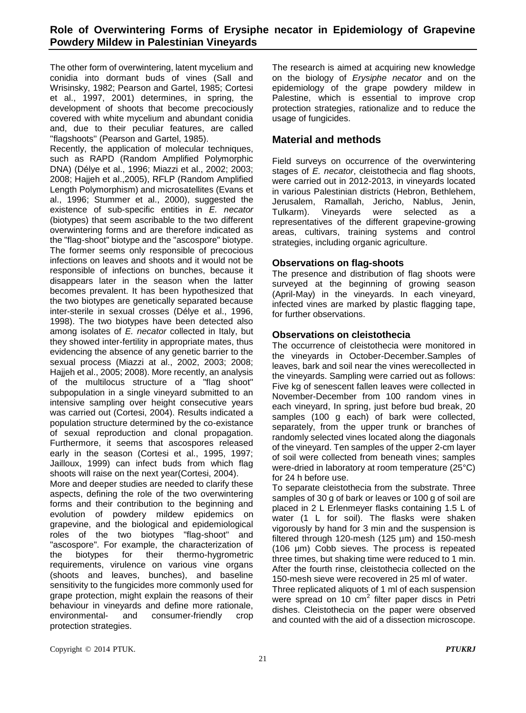The other form of overwintering, latent mycelium and conidia into dormant buds of vines (Sall and Wrisinsky, 1982; Pearson and Gartel, 1985; Cortesi et al., 1997, 2001) determines, in spring, the development of shoots that become precociously covered with white mycelium and abundant conidia and, due to their peculiar features, are called ''flagshoots'' (Pearson and Gartel, 1985).

Recently, the application of molecular techniques, such as RAPD (Random Amplified Polymorphic DNA) (Délye et al., 1996; Miazzi et al., 2002; 2003; 2008; Hajjeh et al.,2005), RFLP (Random Amplified Length Polymorphism) and microsatellites (Evans et al., 1996; Stummer et al., 2000), suggested the existence of sub-specific entities in *E. necator* (biotypes) that seem ascribable to the two different overwintering forms and are therefore indicated as the "flag-shoot" biotype and the "ascospore" biotype. The former seems only responsible of precocious infections on leaves and shoots and it would not be responsible of infections on bunches, because it disappears later in the season when the latter becomes prevalent. It has been hypothesized that the two biotypes are genetically separated because inter-sterile in sexual crosses (Délye et al., 1996, 1998). The two biotypes have been detected also among isolates of *E. necator* collected in Italy, but they showed inter-fertility in appropriate mates, thus evidencing the absence of any genetic barrier to the sexual process (Miazzi at al., 2002, 2003; 2008; Hajjeh et al., 2005; 2008). More recently, an analysis of the multilocus structure of a "flag shoot" subpopulation in a single vineyard submitted to an intensive sampling over height consecutive years was carried out (Cortesi, 2004). Results indicated a population structure determined by the co-existance of sexual reproduction and clonal propagation. Furthermore, it seems that ascospores released early in the season (Cortesi et al., 1995, 1997; Jailloux, 1999) can infect buds from which flag shoots will raise on the next year(Cortesi, 2004).

More and deeper studies are needed to clarify these aspects, defining the role of the two overwintering forms and their contribution to the beginning and evolution of powdery mildew epidemics on grapevine, and the biological and epidemiological roles of the two biotypes "flag-shoot" and "ascospore". For example, the characterization of the biotypes for their thermo-hygrometric requirements, virulence on various vine organs (shoots and leaves, bunches), and baseline sensitivity to the fungicides more commonly used for grape protection, might explain the reasons of their behaviour in vineyards and define more rationale, environmental- and consumer-friendly crop protection strategies.

The research is aimed at acquiring new knowledge on the biology of *Erysiphe necator* and on the epidemiology of the grape powdery mildew in Palestine, which is essential to improve crop protection strategies, rationalize and to reduce the usage of fungicides.

## **Material and methods**

Field surveys on occurrence of the overwintering stages of *E. necator*, cleistothecia and flag shoots, were carried out in 2012-2013, in vineyards located in various Palestinian districts (Hebron, Bethlehem, Jerusalem, Ramallah, Jericho, Nablus, Jenin, Tulkarm). Vineyards were selected as a representatives of the different grapevine-growing areas, cultivars, training systems and control strategies, including organic agriculture.

## **Observations on flag-shoots**

The presence and distribution of flag shoots were surveyed at the beginning of growing season (April-May) in the vineyards. In each vineyard, infected vines are marked by plastic flagging tape, for further observations.

## **Observations on cleistothecia**

The occurrence of cleistothecia were monitored in the vineyards in October-December.Samples of leaves, bark and soil near the vines werecollected in the vineyards. Sampling were carried out as follows: Five kg of senescent fallen leaves were collected in November-December from 100 random vines in each vineyard, In spring, just before bud break, 20 samples (100 g each) of bark were collected, separately, from the upper trunk or branches of randomly selected vines located along the diagonals of the vineyard. Ten samples of the upper 2-cm layer of soil were collected from beneath vines; samples were-dried in laboratory at room temperature (25°C) for 24 h before use.

To separate cleistothecia from the substrate. Three samples of 30 g of bark or leaves or 100 g of soil are placed in 2 L Erlenmeyer flasks containing 1.5 L of water (1 L for soil). The flasks were shaken vigorously by hand for 3 min and the suspension is filtered through 120-mesh (125 µm) and 150-mesh (106 µm) Cobb sieves. The process is repeated three times, but shaking time were reduced to 1 min. After the fourth rinse, cleistothecia collected on the 150-mesh sieve were recovered in 25 ml of water.

Three replicated aliquots of 1 ml of each suspension were spread on 10 cm<sup>2</sup> filter paper discs in Petri dishes. Cleistothecia on the paper were observed and counted with the aid of a dissection microscope.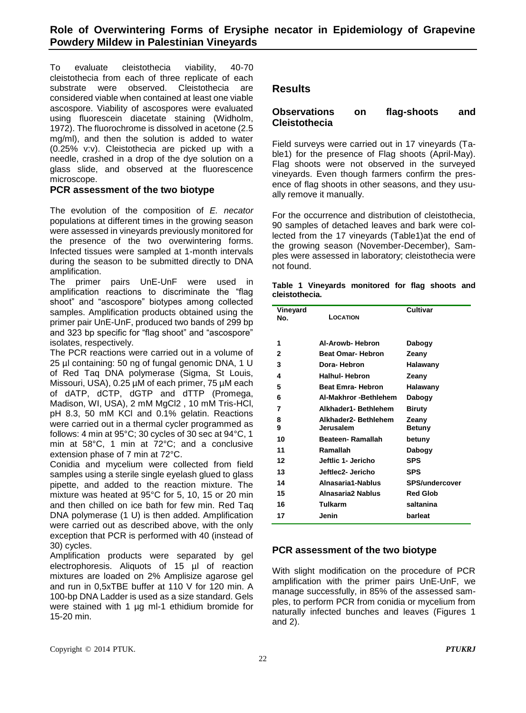To evaluate cleistothecia viability, 40-70 cleistothecia from each of three replicate of each substrate were observed. Cleistothecia are considered viable when contained at least one viable ascospore. Viability of ascospores were evaluated using fluorescein diacetate staining (Widholm, 1972). The fluorochrome is dissolved in acetone (2.5 mg/ml), and then the solution is added to water (0.25% v:v). Cleistothecia are picked up with a needle, crashed in a drop of the dye solution on a glass slide, and observed at the fluorescence microscope.

#### **PCR assessment of the two biotype**

The evolution of the composition of *E. necator* populations at different times in the growing season were assessed in vineyards previously monitored for the presence of the two overwintering forms. Infected tissues were sampled at 1-month intervals during the season to be submitted directly to DNA amplification.

The primer pairs UnE-UnF were used in amplification reactions to discriminate the "flag shoot" and "ascospore" biotypes among collected samples. Amplification products obtained using the primer pair UnE-UnF, produced two bands of 299 bp and 323 bp specific for "flag shoot" and "ascospore" isolates, respectively.

The PCR reactions were carried out in a volume of 25 µl containing: 50 ng of fungal genomic DNA, 1 U of Red Taq DNA polymerase (Sigma, St Louis, Missouri, USA), 0.25 µM of each primer, 75 µM each of dATP, dCTP, dGTP and dTTP (Promega, Madison, WI, USA), 2 mM MgCl2 , 10 mM Tris-HCl, pH 8.3, 50 mM KCl and 0.1% gelatin. Reactions were carried out in a thermal cycler programmed as follows: 4 min at 95°C; 30 cycles of 30 sec at 94°C, 1 min at 58°C, 1 min at 72°C; and a conclusive extension phase of 7 min at 72°C.

Conidia and mycelium were collected from field samples using a sterile single eyelash glued to glass pipette, and added to the reaction mixture. The mixture was heated at 95°C for 5, 10, 15 or 20 min and then chilled on ice bath for few min. Red Taq DNA polymerase (1 U) is then added. Amplification were carried out as described above, with the only exception that PCR is performed with 40 (instead of 30) cycles.

Amplification products were separated by gel electrophoresis. Aliquots of 15 µl of reaction mixtures are loaded on 2% Amplisize agarose gel and run in 0,5xTBE buffer at 110 V for 120 min. A 100-bp DNA Ladder is used as a size standard. Gels were stained with 1 µg ml-1 ethidium bromide for 15-20 min.

## **Results**

### **Observations on flag-shoots and Cleistothecia**

Field surveys were carried out in 17 vineyards (Table1) for the presence of Flag shoots (April-May). Flag shoots were not observed in the surveyed vineyards. Even though farmers confirm the presence of flag shoots in other seasons, and they usually remove it manually.

For the occurrence and distribution of cleistothecia, 90 samples of detached leaves and bark were collected from the 17 vineyards (Table1)at the end of the growing season (November-December), Samples were assessed in laboratory; cleistothecia were not found.

|                |  | Table 1 Vineyards monitored for flag shoots and |  |  |
|----------------|--|-------------------------------------------------|--|--|
| cleistothecia. |  |                                                 |  |  |

| Vineyard<br>No. | LOCATION                          | <b>Cultivar</b>       |
|-----------------|-----------------------------------|-----------------------|
| 1               | Al-Arowb-Hebron                   | Dabogy                |
| 2               | <b>Beat Omar-Hebron</b>           | Zeany                 |
| 3               | Dora-Hebron                       | Halawany              |
| 4               | <b>Halhul-Hebron</b>              | Zeany                 |
| 5               | <b>Beat Emra- Hebron</b>          | Halawany              |
| 6               | Al-Makhror - Bethlehem            | Dabogy                |
| 7               | Alkhader1- Bethlehem              | Biruty                |
| 8<br>9          | Alkhader2- Bethlehem<br>Jerusalem | Zeany<br>Betuny       |
| 10              | Beateen- Ramallah                 | betuny                |
| 11              | Ramallah                          | Dabogy                |
| 12              | Jeftlic 1- Jericho                | <b>SPS</b>            |
| 13              | Jeftlec2- Jericho                 | <b>SPS</b>            |
| 14              | Alnasaria1-Nablus                 | <b>SPS/undercover</b> |
| 15              | Alnasaria2 Nablus                 | <b>Red Glob</b>       |
| 16              | Tulkarm                           | saltanina             |
| 17              | Jenin                             | barleat               |

### **PCR assessment of the two biotype**

With slight modification on the procedure of PCR amplification with the primer pairs UnE-UnF, we manage successfully, in 85% of the assessed samples, to perform PCR from conidia or mycelium from naturally infected bunches and leaves (Figures 1 and 2).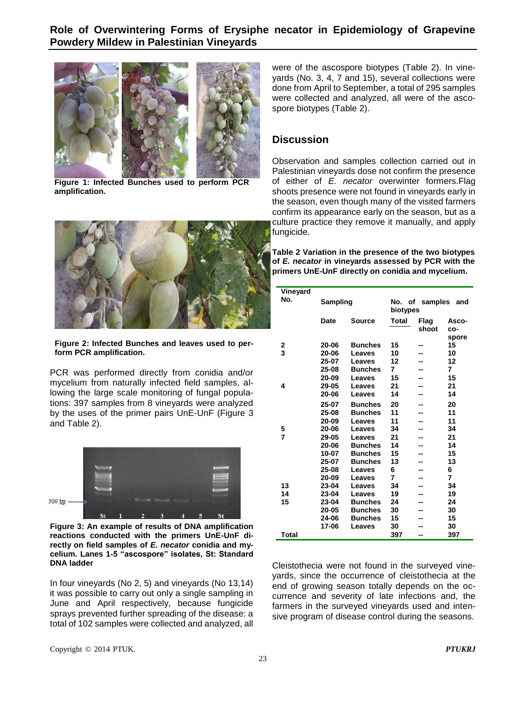### **Role of Overwintering Forms of Erysiphe necator in Epidemiology of Grapevine Powdery Mildew in Palestinian Vineyards**



**Figure 1: Infected Bunches used to perform PCR amplification.**



#### **Figure 2: Infected Bunches and leaves used to perform PCR amplification.**

PCR was performed directly from conidia and/or mycelium from naturally infected field samples, allowing the large scale monitoring of fungal populations: 397 samples from 8 vineyards were analyzed by the uses of the primer pairs UnE-UnF (Figure 3 and Table 2).



**Figure 3: An example of results of DNA amplification reactions conducted with the primers UnE-UnF directly on field samples of** *E. necator* **conidia and mycelium. Lanes 1-5 "ascospore" isolates, St: Standard DNA ladder**

In four vineyards (No 2, 5) and vineyards (No 13,14) it was possible to carry out only a single sampling in June and April respectively, because fungicide sprays prevented further spreading of the disease: a total of 102 samples were collected and analyzed, all were of the ascospore biotypes (Table 2). In vineyards (No. 3, 4, 7 and 15), several collections were done from April to September, a total of 295 samples were collected and analyzed, all were of the ascospore biotypes (Table 2).

## **Discussion**

Observation and samples collection carried out in Palestinian vineyards dose not confirm the presence of either of *E. necator* overwinter formers.Flag shoots presence were not found in vineyards early in the season, even though many of the visited farmers confirm its appearance early on the season, but as a culture practice they remove it manually, and apply fungicide.

**Table 2 Variation in the presence of the two biotypes of** *E. necator* **in vineyards assessed by PCR with the primers UnE-UnF directly on conidia and mycelium.** 

| Vineyard |          |                |                                   |               |              |  |
|----------|----------|----------------|-----------------------------------|---------------|--------------|--|
| No.      | Sampling |                | No. of samples<br>and<br>biotypes |               |              |  |
|          | Date     | <b>Source</b>  | Total                             | Flag<br>shoot | Asco-<br>co- |  |
| 2        | 20-06    | <b>Bunches</b> | 15                                |               | spore<br>15  |  |
| 3        | 20-06    | Leaves         | 10                                |               | 10           |  |
|          | 25-07    | Leaves         | 12                                |               | 12           |  |
|          | 25-08    | <b>Bunches</b> | 7                                 |               | 7            |  |
|          |          |                |                                   |               |              |  |
|          | 20-09    | Leaves         | 15                                |               | 15           |  |
| 4        | 29-05    | Leaves         | 21                                | --            | 21           |  |
|          | 20-06    | Leaves         | 14                                | --            | 14           |  |
|          | 25-07    | <b>Bunches</b> | 20                                |               | 20           |  |
|          | 25-08    | <b>Bunches</b> | 11                                | --            | 11           |  |
|          | 20-09    | Leaves         | 11                                |               | 11           |  |
| 5        | 20-06    | Leaves         | 34                                | --            | 34           |  |
| 7        | 29-05    | Leaves         | 21                                |               | 21           |  |
|          | 20-06    | <b>Bunches</b> | 14                                |               | 14           |  |
|          | 10-07    | <b>Bunches</b> | 15                                |               | 15           |  |
|          | 25-07    | <b>Bunches</b> | 13                                | --            | 13           |  |
|          | 25-08    | Leaves         | 6                                 | --            | 6            |  |
|          | 20-09    | Leaves         | 7                                 |               | 7            |  |
| 13       | 23-04    | Leaves         | 34                                |               | 34           |  |
| 14       | 23-04    | Leaves         | 19                                | --            | 19           |  |
| 15       | 23-04    | <b>Bunches</b> | 24                                |               | 24           |  |
|          | 20-05    | <b>Bunches</b> | 30                                | --            | 30           |  |
|          | 24-06    | <b>Bunches</b> | 15                                | --            | 15           |  |
|          | 17-06    | Leaves         | 30                                |               | 30           |  |
| Total    |          |                | 397                               | --            | 397          |  |
|          |          |                |                                   |               |              |  |

Cleistothecia were not found in the surveyed vineyards, since the occurrence of cleistothecia at the end of growing season totally depends on the occurrence and severity of late infections and, the farmers in the surveyed vineyards used and intensive program of disease control during the seasons.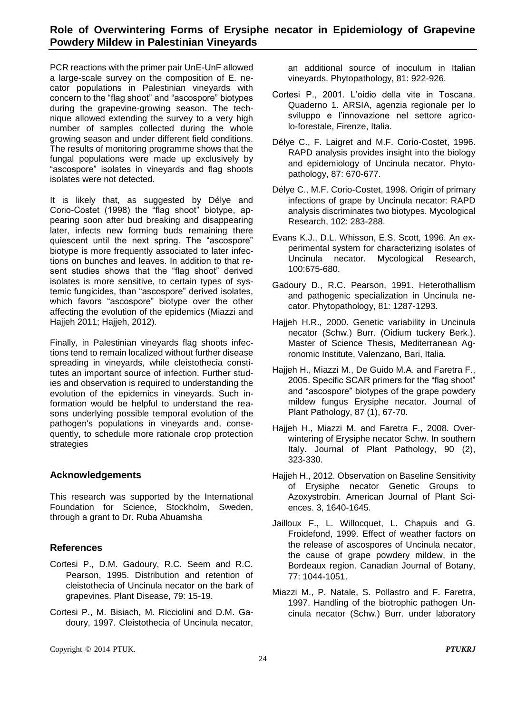PCR reactions with the primer pair UnE-UnF allowed a large-scale survey on the composition of E. necator populations in Palestinian vineyards with concern to the "flag shoot" and "ascospore" biotypes during the grapevine-growing season. The technique allowed extending the survey to a very high number of samples collected during the whole growing season and under different field conditions. The results of monitoring programme shows that the fungal populations were made up exclusively by "ascospore" isolates in vineyards and flag shoots isolates were not detected.

It is likely that, as suggested by Délye and Corio-Costet (1998) the "flag shoot" biotype, appearing soon after bud breaking and disappearing later, infects new forming buds remaining there quiescent until the next spring. The "ascospore" biotype is more frequently associated to later infections on bunches and leaves. In addition to that resent studies shows that the "flag shoot" derived isolates is more sensitive, to certain types of systemic fungicides, than "ascospore" derived isolates, which favors "ascospore" biotype over the other affecting the evolution of the epidemics (Miazzi and Hajjeh 2011; Hajjeh, 2012).

Finally, in Palestinian vineyards flag shoots infections tend to remain localized without further disease spreading in vineyards, while cleistothecia constitutes an important source of infection. Further studies and observation is required to understanding the evolution of the epidemics in vineyards. Such information would be helpful to understand the reasons underlying possible temporal evolution of the pathogen's populations in vineyards and, consequently, to schedule more rationale crop protection strategies

## **Acknowledgements**

This research was supported by the International Foundation for Science, Stockholm, Sweden, through a grant to Dr. Ruba Abuamsha

## **References**

- Cortesi P., D.M. Gadoury, R.C. Seem and R.C. Pearson, 1995. Distribution and retention of cleistothecia of Uncinula necator on the bark of grapevines. Plant Disease, 79: 15-19.
- Cortesi P., M. Bisiach, M. Ricciolini and D.M. Gadoury, 1997. Cleistothecia of Uncinula necator,

an additional source of inoculum in Italian vineyards. Phytopathology, 81: 922-926.

- Cortesi P., 2001. L'oidio della vite in Toscana. Quaderno 1. ARSIA, agenzia regionale per lo sviluppo e l'innovazione nel settore agricolo-forestale, Firenze, Italia.
- Délye C., F. Laigret and M.F. Corio-Costet, 1996. RAPD analysis provides insight into the biology and epidemiology of Uncinula necator. Phytopathology, 87: 670-677.
- Délye C., M.F. Corio-Costet, 1998. Origin of primary infections of grape by Uncinula necator: RAPD analysis discriminates two biotypes. Mycological Research, 102: 283-288.
- Evans K.J., D.L. Whisson, E.S. Scott, 1996. An experimental system for characterizing isolates of Uncinula necator. Mycological Research, 100:675-680.
- Gadoury D., R.C. Pearson, 1991. Heterothallism and pathogenic specialization in Uncinula necator. Phytopathology, 81: 1287-1293.
- Hajjeh H.R., 2000. Genetic variability in Uncinula necator (Schw.) Burr. (Oidium tuckery Berk.). Master of Science Thesis, Mediterranean Agronomic Institute, Valenzano, Bari, Italia.
- Hajjeh H., Miazzi M., De Guido M.A. and Faretra F., 2005. Specific SCAR primers for the "flag shoot" and "ascospore" biotypes of the grape powdery mildew fungus Erysiphe necator. Journal of Plant Pathology, 87 (1), 67-70.
- Hajjeh H., Miazzi M. and Faretra F., 2008. Overwintering of Erysiphe necator Schw. In southern Italy. Journal of Plant Pathology, 90 (2), 323-330.
- Hajjeh H., 2012. Observation on Baseline Sensitivity of Erysiphe necator Genetic Groups to Azoxystrobin. American Journal of Plant Sciences. 3, 1640-1645.
- Jailloux F., L. Willocquet, L. Chapuis and G. Froidefond, 1999. Effect of weather factors on the release of ascospores of Uncinula necator, the cause of grape powdery mildew, in the Bordeaux region. Canadian Journal of Botany, 77: 1044-1051.
- Miazzi M., P. Natale, S. Pollastro and F. Faretra, 1997. Handling of the biotrophic pathogen Uncinula necator (Schw.) Burr. under laboratory